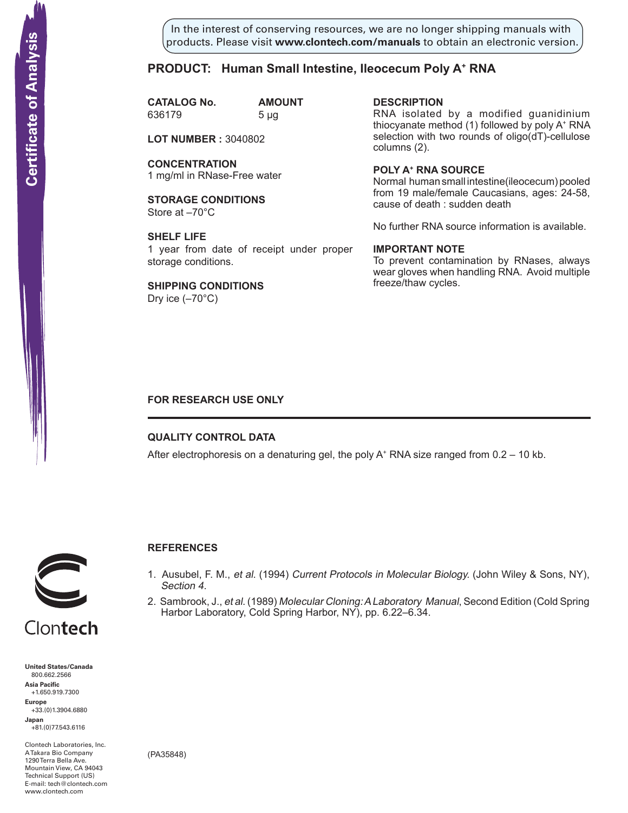In the interest of conserving resources, we are no longer shipping manuals with products. Please visit **www.clontech.com/manuals** to obtain an electronic version.

### **PRODUCT: Human Small Intestine, Ileocecum Poly A+ RNA**

**CATALOG No. AMOUNT** 636179 5 µg

**LOT NUMBER :** 3040802

**CONCENTRATION** 1 mg/ml in RNase-Free water

**STORAGE CONDITIONS** Store at –70°C

**SHELF LIFE** 1 year from date of receipt under proper storage conditions.

**SHIPPING CONDITIONS** Dry ice  $(-70^{\circ}C)$ 

**description** RNA isolated by a modified guanidinium thiocyanate method (1) followed by poly A+ RNA selection with two rounds of oligo(dT)-cellulose columns (2).

**Poly a+ RNA source** Normal human small intestine(ileocecum) pooled from 19 male/female Caucasians, ages: 24-58, cause of death : sudden death

No further RNA source information is available.

### **IMPORTANT NOTE**

To prevent contamination by RNases, always wear gloves when handling RNA. Avoid multiple freeze/thaw cycles.

### **FOR RESEARCH USE ONLY**

### **QUALITY CONTROL DATA**

After electrophoresis on a denaturing gel, the poly  $A^+$  RNA size ranged from 0.2 – 10 kb.



## **References**

- 1. Ausubel, F. M., et al. (1994) Current Protocols in Molecular Biology. (John Wiley & Sons, NY), Section 4.
- 2. Sambrook, J., et al. (1989) Molecular Cloning: A Laboratory Manual, Second Edition (Cold Spring Harbor Laboratory, Cold Spring Harbor, NY), pp. 6.22–6.34.

**United States/Canada** 800.662.2566 **Asia Pacific** +1.650.919.7300 **Europe** +33.(0)1.3904.6880 **Japan** +81.(0)77.543.6116 **Solution Control Control Control Control Control Control Control Control Control Control Control Control Control Control Control Control Control Control Control Control Control Control Control Control Control Control Cont** 

Clontech Laboratories, Inc. A Takara Bio Company 1290 Terra Bella Ave. Mountain View, CA 94043 Technical Support (US) E-mail: tech@clontech.com<br>www.clontech.com

(PA35848)